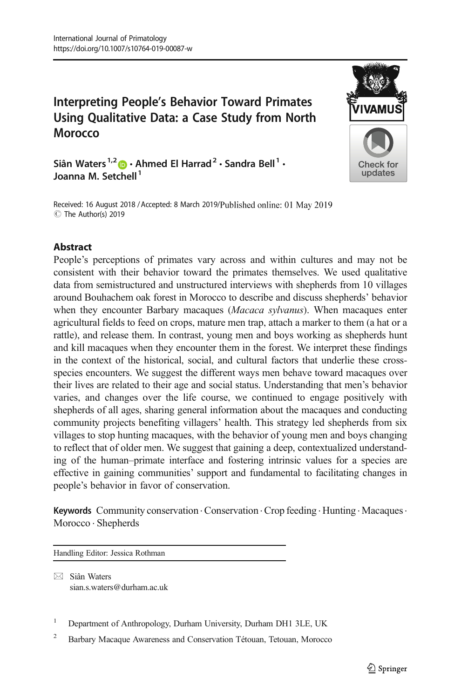# Interpreting People's Behavior Toward Primates Using Qualitative Data: a Case Study from North **Morocco**

Siân Waters<sup>1,2</sup>  $\bullet$  · Ahmed El Harrad<sup>2</sup> · Sandra Bell<sup>1</sup> · Joanna M. Set[che](http://orcid.org/0000-0001-9261-3629)ll<sup>1</sup>



Received: 16 August 2018 / Accepted: 8 March 2019/Published online: 01 May 2019 C The Author(s) 2019

### Abstract

People's perceptions of primates vary across and within cultures and may not be consistent with their behavior toward the primates themselves. We used qualitative data from semistructured and unstructured interviews with shepherds from 10 villages around Bouhachem oak forest in Morocco to describe and discuss shepherds' behavior when they encounter Barbary macaques (*Macaca sylvanus*). When macaques enter agricultural fields to feed on crops, mature men trap, attach a marker to them (a hat or a rattle), and release them. In contrast, young men and boys working as shepherds hunt and kill macaques when they encounter them in the forest. We interpret these findings in the context of the historical, social, and cultural factors that underlie these crossspecies encounters. We suggest the different ways men behave toward macaques over their lives are related to their age and social status. Understanding that men's behavior varies, and changes over the life course, we continued to engage positively with shepherds of all ages, sharing general information about the macaques and conducting community projects benefiting villagers' health. This strategy led shepherds from six villages to stop hunting macaques, with the behavior of young men and boys changing to reflect that of older men. We suggest that gaining a deep, contextualized understanding of the human–primate interface and fostering intrinsic values for a species are effective in gaining communities' support and fundamental to facilitating changes in people's behavior in favor of conservation.

Keywords Community conservation · Conservation · Crop feeding · Hunting · Macaques · Morocco . Shepherds

Handling Editor: Jessica Rothman

 $\boxtimes$  Siân Waters [sian.s.waters@durham.ac.uk](mailto:sian.s.waters@durham.ac.uk)

<sup>1</sup> Department of Anthropology, Durham University, Durham DH1 3LE, UK

<sup>2</sup> Barbary Macaque Awareness and Conservation Tétouan, Tetouan, Morocco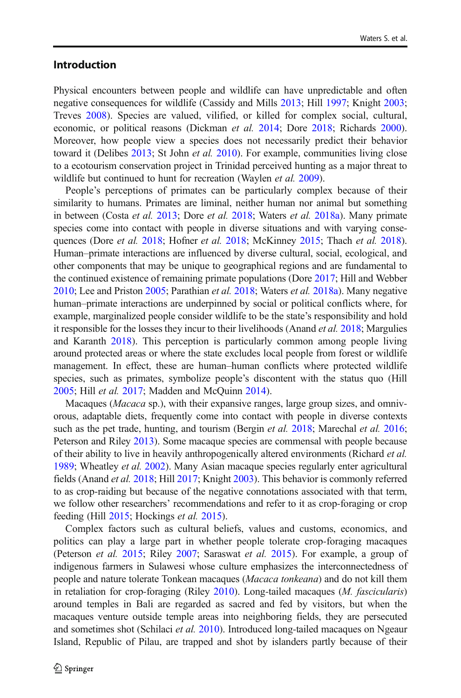#### Introduction

Physical encounters between people and wildlife can have unpredictable and often negative consequences for wildlife (Cassidy and Mills [2013](#page-12-0); Hill [1997](#page-13-0); Knight [2003;](#page-13-0) Treves [2008\)](#page-14-0). Species are valued, vilified, or killed for complex social, cultural, economic, or political reasons (Dickman *et al.* [2014](#page-12-0); Dore [2018](#page-12-0); Richards [2000\)](#page-14-0). Moreover, how people view a species does not necessarily predict their behavior toward it (Delibes [2013;](#page-12-0) St John *et al.* [2010](#page-14-0)). For example, communities living close to a ecotourism conservation project in Trinidad perceived hunting as a major threat to wildlife but continued to hunt for recreation (Waylen *et al.* [2009](#page-14-0)).

People's perceptions of primates can be particularly complex because of their similarity to humans. Primates are liminal, neither human nor animal but something in between (Costa et al. [2013](#page-12-0); Dore et al. [2018;](#page-12-0) Waters et al. [2018a\)](#page-14-0). Many primate species come into contact with people in diverse situations and with varying consequences (Dore *et al.* [2018;](#page-13-0) Hofner *et al.* 2018; McKinney [2015;](#page-13-0) Thach *et al.* [2018\)](#page-14-0). Human–primate interactions are influenced by diverse cultural, social, ecological, and other components that may be unique to geographical regions and are fundamental to the continued existence of remaining primate populations (Dore [2017;](#page-12-0) Hill and Webber [2010;](#page-13-0) Lee and Priston [2005](#page-13-0); Parathian et al. [2018](#page-13-0); Waters et al. [2018a](#page-14-0)). Many negative human–primate interactions are underpinned by social or political conflicts where, for example, marginalized people consider wildlife to be the state's responsibility and hold it responsible for the losses they incur to their livelihoods (Anand *et al.* [2018](#page-12-0); Margulies and Karanth [2018\)](#page-13-0). This perception is particularly common among people living around protected areas or where the state excludes local people from forest or wildlife management. In effect, these are human–human conflicts where protected wildlife species, such as primates, symbolize people's discontent with the status quo (Hill [2005;](#page-13-0) Hill et al. [2017](#page-13-0); Madden and McQuinn [2014\)](#page-13-0).

Macaques (Macaca sp.), with their expansive ranges, large group sizes, and omnivorous, adaptable diets, frequently come into contact with people in diverse contexts such as the pet trade, hunting, and tourism (Bergin *et al.* [2018;](#page-12-0) Marechal *et al.* [2016;](#page-13-0) Peterson and Riley [2013\)](#page-14-0). Some macaque species are commensal with people because of their ability to live in heavily anthropogenically altered environments (Richard et al. [1989;](#page-14-0) Wheatley et al. [2002\)](#page-14-0). Many Asian macaque species regularly enter agricultural fields (Anand et al. [2018;](#page-12-0) Hill [2017](#page-13-0); Knight [2003](#page-13-0)). This behavior is commonly referred to as crop-raiding but because of the negative connotations associated with that term, we follow other researchers' recommendations and refer to it as crop-foraging or crop feeding (Hill [2015;](#page-13-0) Hockings et al. [2015\)](#page-13-0).

Complex factors such as cultural beliefs, values and customs, economics, and politics can play a large part in whether people tolerate crop-foraging macaques (Peterson et al. [2015](#page-14-0); Riley [2007;](#page-14-0) Saraswat et al. [2015](#page-14-0)). For example, a group of indigenous farmers in Sulawesi whose culture emphasizes the interconnectedness of people and nature tolerate Tonkean macaques (Macaca tonkeana) and do not kill them in retaliation for crop-foraging (Riley [2010](#page-14-0)). Long-tailed macaques (M. fascicularis) around temples in Bali are regarded as sacred and fed by visitors, but when the macaques venture outside temple areas into neighboring fields, they are persecuted and sometimes shot (Schilaci et al. [2010](#page-14-0)). Introduced long-tailed macaques on Ngeaur Island, Republic of Pilau, are trapped and shot by islanders partly because of their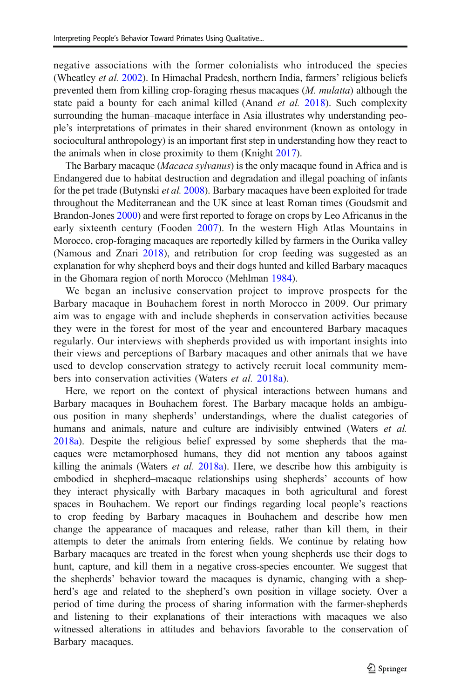negative associations with the former colonialists who introduced the species (Wheatley et al. [2002\)](#page-14-0). In Himachal Pradesh, northern India, farmers' religious beliefs prevented them from killing crop-foraging rhesus macaques (M. mulatta) although the state paid a bounty for each animal killed (Anand *et al.* [2018](#page-12-0)). Such complexity surrounding the human–macaque interface in Asia illustrates why understanding people's interpretations of primates in their shared environment (known as ontology in sociocultural anthropology) is an important first step in understanding how they react to the animals when in close proximity to them (Knight [2017\)](#page-13-0).

The Barbary macaque (Macaca sylvanus) is the only macaque found in Africa and is Endangered due to habitat destruction and degradation and illegal poaching of infants for the pet trade (Butynski et al. [2008\)](#page-12-0). Barbary macaques have been exploited for trade throughout the Mediterranean and the UK since at least Roman times (Goudsmit and Brandon-Jones [2000](#page-13-0)) and were first reported to forage on crops by Leo Africanus in the early sixteenth century (Fooden [2007](#page-12-0)). In the western High Atlas Mountains in Morocco, crop-foraging macaques are reportedly killed by farmers in the Ourika valley (Namous and Znari [2018](#page-13-0)), and retribution for crop feeding was suggested as an explanation for why shepherd boys and their dogs hunted and killed Barbary macaques in the Ghomara region of north Morocco (Mehlman [1984](#page-13-0)).

We began an inclusive conservation project to improve prospects for the Barbary macaque in Bouhachem forest in north Morocco in 2009. Our primary aim was to engage with and include shepherds in conservation activities because they were in the forest for most of the year and encountered Barbary macaques regularly. Our interviews with shepherds provided us with important insights into their views and perceptions of Barbary macaques and other animals that we have used to develop conservation strategy to actively recruit local community members into conservation activities (Waters *et al.* [2018a\)](#page-14-0).

Here, we report on the context of physical interactions between humans and Barbary macaques in Bouhachem forest. The Barbary macaque holds an ambiguous position in many shepherds' understandings, where the dualist categories of humans and animals, nature and culture are indivisibly entwined (Waters et al. [2018a\)](#page-14-0). Despite the religious belief expressed by some shepherds that the macaques were metamorphosed humans, they did not mention any taboos against killing the animals (Waters *et al.*  $2018a$ ). Here, we describe how this ambiguity is embodied in shepherd–macaque relationships using shepherds' accounts of how they interact physically with Barbary macaques in both agricultural and forest spaces in Bouhachem. We report our findings regarding local people's reactions to crop feeding by Barbary macaques in Bouhachem and describe how men change the appearance of macaques and release, rather than kill them, in their attempts to deter the animals from entering fields. We continue by relating how Barbary macaques are treated in the forest when young shepherds use their dogs to hunt, capture, and kill them in a negative cross-species encounter. We suggest that the shepherds' behavior toward the macaques is dynamic, changing with a shepherd's age and related to the shepherd's own position in village society. Over a period of time during the process of sharing information with the farmer-shepherds and listening to their explanations of their interactions with macaques we also witnessed alterations in attitudes and behaviors favorable to the conservation of Barbary macaques.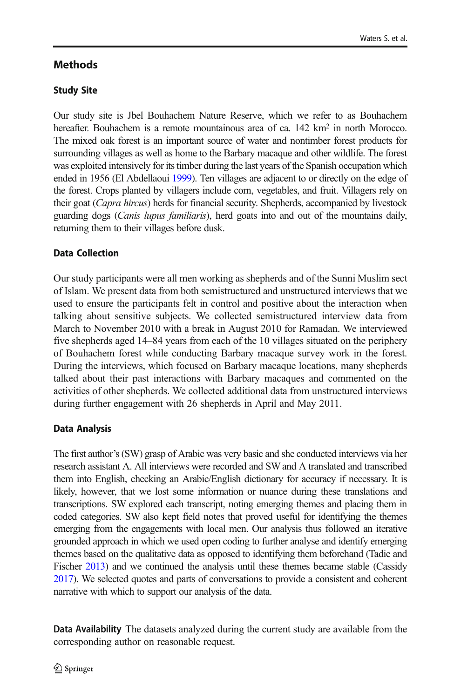# **Methods**

## Study Site

Our study site is Jbel Bouhachem Nature Reserve, which we refer to as Bouhachem hereafter. Bouhachem is a remote mountainous area of ca.  $142 \text{ km}^2$  in north Morocco. The mixed oak forest is an important source of water and nontimber forest products for surrounding villages as well as home to the Barbary macaque and other wildlife. The forest was exploited intensively for its timber during the last years of the Spanish occupation which ended in 1956 (El Abdellaoui [1999\)](#page-12-0). Ten villages are adjacent to or directly on the edge of the forest. Crops planted by villagers include corn, vegetables, and fruit. Villagers rely on their goat (Capra hircus) herds for financial security. Shepherds, accompanied by livestock guarding dogs (Canis lupus familiaris), herd goats into and out of the mountains daily, returning them to their villages before dusk.

### Data Collection

Our study participants were all men working as shepherds and of the Sunni Muslim sect of Islam. We present data from both semistructured and unstructured interviews that we used to ensure the participants felt in control and positive about the interaction when talking about sensitive subjects. We collected semistructured interview data from March to November 2010 with a break in August 2010 for Ramadan. We interviewed five shepherds aged 14–84 years from each of the 10 villages situated on the periphery of Bouhachem forest while conducting Barbary macaque survey work in the forest. During the interviews, which focused on Barbary macaque locations, many shepherds talked about their past interactions with Barbary macaques and commented on the activities of other shepherds. We collected additional data from unstructured interviews during further engagement with 26 shepherds in April and May 2011.

### Data Analysis

The first author's (SW) grasp of Arabic was very basic and she conducted interviews via her research assistant A. All interviews were recorded and SW and A translated and transcribed them into English, checking an Arabic/English dictionary for accuracy if necessary. It is likely, however, that we lost some information or nuance during these translations and transcriptions. SW explored each transcript, noting emerging themes and placing them in coded categories. SW also kept field notes that proved useful for identifying the themes emerging from the engagements with local men. Our analysis thus followed an iterative grounded approach in which we used open coding to further analyse and identify emerging themes based on the qualitative data as opposed to identifying them beforehand (Tadie and Fischer [2013](#page-14-0)) and we continued the analysis until these themes became stable (Cassidy [2017\)](#page-12-0). We selected quotes and parts of conversations to provide a consistent and coherent narrative with which to support our analysis of the data.

Data Availability The datasets analyzed during the current study are available from the corresponding author on reasonable request.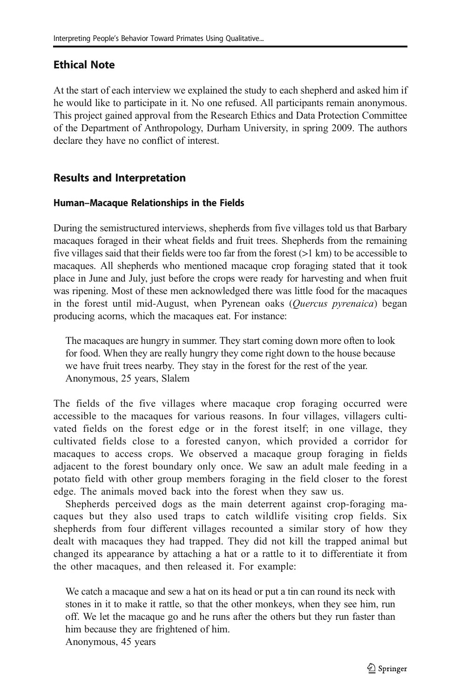### Ethical Note

At the start of each interview we explained the study to each shepherd and asked him if he would like to participate in it. No one refused. All participants remain anonymous. This project gained approval from the Research Ethics and Data Protection Committee of the Department of Anthropology, Durham University, in spring 2009. The authors declare they have no conflict of interest.

### Results and Interpretation

#### Human–Macaque Relationships in the Fields

During the semistructured interviews, shepherds from five villages told us that Barbary macaques foraged in their wheat fields and fruit trees. Shepherds from the remaining five villages said that their fields were too far from the forest  $(>1 \text{ km})$  to be accessible to macaques. All shepherds who mentioned macaque crop foraging stated that it took place in June and July, just before the crops were ready for harvesting and when fruit was ripening. Most of these men acknowledged there was little food for the macaques in the forest until mid-August, when Pyrenean oaks (Quercus pyrenaica) began producing acorns, which the macaques eat. For instance:

The macaques are hungry in summer. They start coming down more often to look for food. When they are really hungry they come right down to the house because we have fruit trees nearby. They stay in the forest for the rest of the year. Anonymous, 25 years, Slalem

The fields of the five villages where macaque crop foraging occurred were accessible to the macaques for various reasons. In four villages, villagers cultivated fields on the forest edge or in the forest itself; in one village, they cultivated fields close to a forested canyon, which provided a corridor for macaques to access crops. We observed a macaque group foraging in fields adjacent to the forest boundary only once. We saw an adult male feeding in a potato field with other group members foraging in the field closer to the forest edge. The animals moved back into the forest when they saw us.

Shepherds perceived dogs as the main deterrent against crop-foraging macaques but they also used traps to catch wildlife visiting crop fields. Six shepherds from four different villages recounted a similar story of how they dealt with macaques they had trapped. They did not kill the trapped animal but changed its appearance by attaching a hat or a rattle to it to differentiate it from the other macaques, and then released it. For example:

We catch a macaque and sew a hat on its head or put a tin can round its neck with stones in it to make it rattle, so that the other monkeys, when they see him, run off. We let the macaque go and he runs after the others but they run faster than him because they are frightened of him. Anonymous, 45 years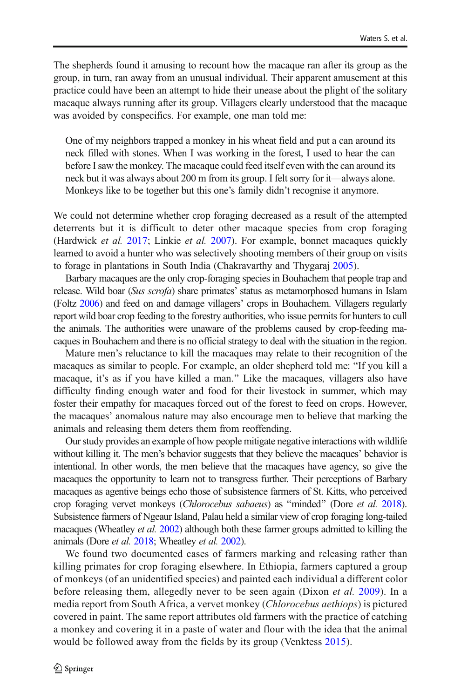The shepherds found it amusing to recount how the macaque ran after its group as the group, in turn, ran away from an unusual individual. Their apparent amusement at this practice could have been an attempt to hide their unease about the plight of the solitary macaque always running after its group. Villagers clearly understood that the macaque was avoided by conspecifics. For example, one man told me:

One of my neighbors trapped a monkey in his wheat field and put a can around its neck filled with stones. When I was working in the forest, I used to hear the can before I saw the monkey. The macaque could feed itself even with the can around its neck but it was always about 200 m from its group. I felt sorry for it—always alone. Monkeys like to be together but this one's family didn't recognise it anymore.

We could not determine whether crop foraging decreased as a result of the attempted deterrents but it is difficult to deter other macaque species from crop foraging (Hardwick et al. [2017;](#page-13-0) Linkie et al. [2007\)](#page-13-0). For example, bonnet macaques quickly learned to avoid a hunter who was selectively shooting members of their group on visits to forage in plantations in South India (Chakravarthy and Thygaraj [2005\)](#page-12-0).

Barbary macaques are the only crop-foraging species in Bouhachem that people trap and release. Wild boar (Sus scrofa) share primates' status as metamorphosed humans in Islam (Foltz [2006\)](#page-12-0) and feed on and damage villagers' crops in Bouhachem. Villagers regularly report wild boar crop feeding to the forestry authorities, who issue permits for hunters to cull the animals. The authorities were unaware of the problems caused by crop-feeding macaques in Bouhachem and there is no official strategy to deal with the situation in the region.

Mature men's reluctance to kill the macaques may relate to their recognition of the macaques as similar to people. For example, an older shepherd told me: "If you kill a macaque, it's as if you have killed a man." Like the macaques, villagers also have difficulty finding enough water and food for their livestock in summer, which may foster their empathy for macaques forced out of the forest to feed on crops. However, the macaques' anomalous nature may also encourage men to believe that marking the animals and releasing them deters them from reoffending.

Our study provides an example of how people mitigate negative interactions with wildlife without killing it. The men's behavior suggests that they believe the macaques' behavior is intentional. In other words, the men believe that the macaques have agency, so give the macaques the opportunity to learn not to transgress further. Their perceptions of Barbary macaques as agentive beings echo those of subsistence farmers of St. Kitts, who perceived crop foraging vervet monkeys (Chlorocebus sabaeus) as "minded" (Dore et al. [2018\)](#page-12-0). Subsistence farmers of Ngeaur Island, Palau held a similar view of crop foraging long-tailed macaques (Wheatley et al. [2002\)](#page-14-0) although both these farmer groups admitted to killing the animals (Dore et al. [2018](#page-12-0); Wheatley et al. [2002\)](#page-14-0).

We found two documented cases of farmers marking and releasing rather than killing primates for crop foraging elsewhere. In Ethiopia, farmers captured a group of monkeys (of an unidentified species) and painted each individual a different color before releasing them, allegedly never to be seen again (Dixon et al. [2009](#page-12-0)). In a media report from South Africa, a vervet monkey (Chlorocebus aethiops) is pictured covered in paint. The same report attributes old farmers with the practice of catching a monkey and covering it in a paste of water and flour with the idea that the animal would be followed away from the fields by its group (Venktess [2015](#page-14-0)).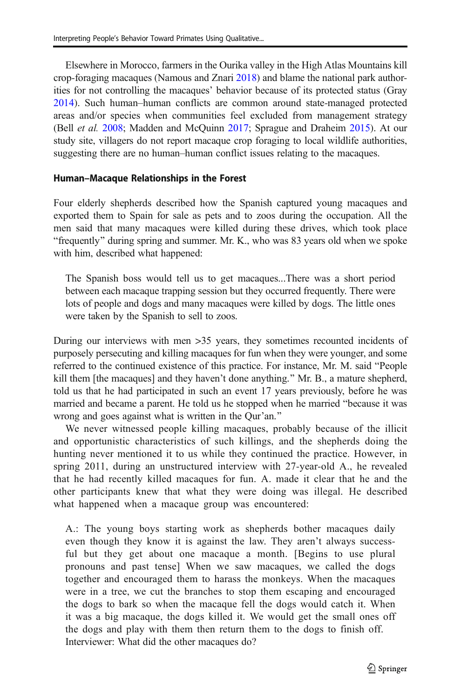Elsewhere in Morocco, farmers in the Ourika valley in the High Atlas Mountains kill crop-foraging macaques (Namous and Znari [2018\)](#page-13-0) and blame the national park authorities for not controlling the macaques' behavior because of its protected status (Gray [2014\)](#page-13-0). Such human–human conflicts are common around state-managed protected areas and/or species when communities feel excluded from management strategy (Bell et al. [2008](#page-12-0); Madden and McQuinn [2017;](#page-13-0) Sprague and Draheim [2015](#page-14-0)). At our study site, villagers do not report macaque crop foraging to local wildlife authorities, suggesting there are no human–human conflict issues relating to the macaques.

#### Human–Macaque Relationships in the Forest

Four elderly shepherds described how the Spanish captured young macaques and exported them to Spain for sale as pets and to zoos during the occupation. All the men said that many macaques were killed during these drives, which took place "frequently" during spring and summer. Mr. K., who was 83 years old when we spoke with him, described what happened:

The Spanish boss would tell us to get macaques...There was a short period between each macaque trapping session but they occurred frequently. There were lots of people and dogs and many macaques were killed by dogs. The little ones were taken by the Spanish to sell to zoos.

During our interviews with men >35 years, they sometimes recounted incidents of purposely persecuting and killing macaques for fun when they were younger, and some referred to the continued existence of this practice. For instance, Mr. M. said "People kill them [the macaques] and they haven't done anything." Mr. B., a mature shepherd, told us that he had participated in such an event 17 years previously, before he was married and became a parent. He told us he stopped when he married "because it was wrong and goes against what is written in the Qur'an."

We never witnessed people killing macaques, probably because of the illicit and opportunistic characteristics of such killings, and the shepherds doing the hunting never mentioned it to us while they continued the practice. However, in spring 2011, during an unstructured interview with 27-year-old A., he revealed that he had recently killed macaques for fun. A. made it clear that he and the other participants knew that what they were doing was illegal. He described what happened when a macaque group was encountered:

A.: The young boys starting work as shepherds bother macaques daily even though they know it is against the law. They aren't always successful but they get about one macaque a month. [Begins to use plural pronouns and past tense] When we saw macaques, we called the dogs together and encouraged them to harass the monkeys. When the macaques were in a tree, we cut the branches to stop them escaping and encouraged the dogs to bark so when the macaque fell the dogs would catch it. When it was a big macaque, the dogs killed it. We would get the small ones off the dogs and play with them then return them to the dogs to finish off. Interviewer: What did the other macaques do?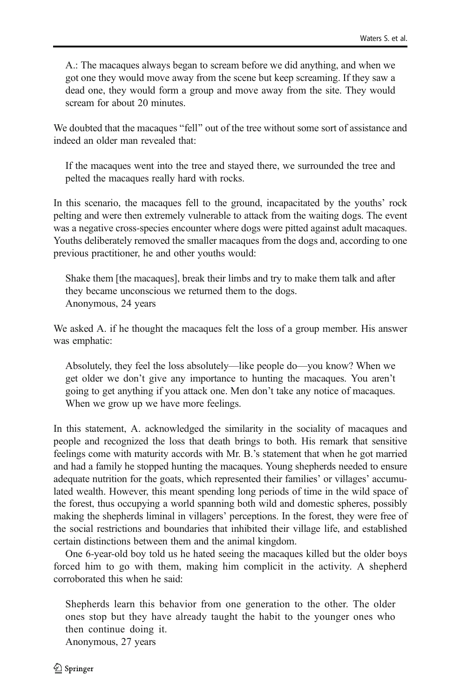A.: The macaques always began to scream before we did anything, and when we got one they would move away from the scene but keep screaming. If they saw a dead one, they would form a group and move away from the site. They would scream for about 20 minutes.

We doubted that the macaques "fell" out of the tree without some sort of assistance and indeed an older man revealed that:

If the macaques went into the tree and stayed there, we surrounded the tree and pelted the macaques really hard with rocks.

In this scenario, the macaques fell to the ground, incapacitated by the youths' rock pelting and were then extremely vulnerable to attack from the waiting dogs. The event was a negative cross-species encounter where dogs were pitted against adult macaques. Youths deliberately removed the smaller macaques from the dogs and, according to one previous practitioner, he and other youths would:

Shake them [the macaques], break their limbs and try to make them talk and after they became unconscious we returned them to the dogs. Anonymous, 24 years

We asked A. if he thought the macaques felt the loss of a group member. His answer was emphatic:

Absolutely, they feel the loss absolutely—like people do—you know? When we get older we don't give any importance to hunting the macaques. You aren't going to get anything if you attack one. Men don't take any notice of macaques. When we grow up we have more feelings.

In this statement, A. acknowledged the similarity in the sociality of macaques and people and recognized the loss that death brings to both. His remark that sensitive feelings come with maturity accords with Mr. B.'s statement that when he got married and had a family he stopped hunting the macaques. Young shepherds needed to ensure adequate nutrition for the goats, which represented their families' or villages' accumulated wealth. However, this meant spending long periods of time in the wild space of the forest, thus occupying a world spanning both wild and domestic spheres, possibly making the shepherds liminal in villagers' perceptions. In the forest, they were free of the social restrictions and boundaries that inhibited their village life, and established certain distinctions between them and the animal kingdom.

One 6-year-old boy told us he hated seeing the macaques killed but the older boys forced him to go with them, making him complicit in the activity. A shepherd corroborated this when he said:

Shepherds learn this behavior from one generation to the other. The older ones stop but they have already taught the habit to the younger ones who then continue doing it. Anonymous, 27 years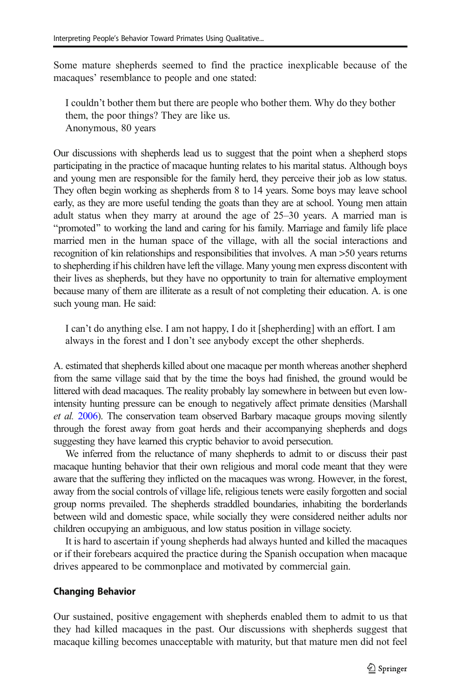Some mature shepherds seemed to find the practice inexplicable because of the macaques' resemblance to people and one stated:

I couldn't bother them but there are people who bother them. Why do they bother them, the poor things? They are like us. Anonymous, 80 years

Our discussions with shepherds lead us to suggest that the point when a shepherd stops participating in the practice of macaque hunting relates to his marital status. Although boys and young men are responsible for the family herd, they perceive their job as low status. They often begin working as shepherds from 8 to 14 years. Some boys may leave school early, as they are more useful tending the goats than they are at school. Young men attain adult status when they marry at around the age of 25–30 years. A married man is "promoted" to working the land and caring for his family. Marriage and family life place married men in the human space of the village, with all the social interactions and recognition of kin relationships and responsibilities that involves. A man >50 years returns to shepherding if his children have left the village. Many young men express discontent with their lives as shepherds, but they have no opportunity to train for alternative employment because many of them are illiterate as a result of not completing their education. A. is one such young man. He said:

I can't do anything else. I am not happy, I do it [shepherding] with an effort. I am always in the forest and I don't see anybody except the other shepherds.

A. estimated that shepherds killed about one macaque per month whereas another shepherd from the same village said that by the time the boys had finished, the ground would be littered with dead macaques. The reality probably lay somewhere in between but even lowintensity hunting pressure can be enough to negatively affect primate densities (Marshall et al. [2006](#page-13-0)). The conservation team observed Barbary macaque groups moving silently through the forest away from goat herds and their accompanying shepherds and dogs suggesting they have learned this cryptic behavior to avoid persecution.

We inferred from the reluctance of many shepherds to admit to or discuss their past macaque hunting behavior that their own religious and moral code meant that they were aware that the suffering they inflicted on the macaques was wrong. However, in the forest, away from the social controls of village life, religious tenets were easily forgotten and social group norms prevailed. The shepherds straddled boundaries, inhabiting the borderlands between wild and domestic space, while socially they were considered neither adults nor children occupying an ambiguous, and low status position in village society.

It is hard to ascertain if young shepherds had always hunted and killed the macaques or if their forebears acquired the practice during the Spanish occupation when macaque drives appeared to be commonplace and motivated by commercial gain.

#### Changing Behavior

Our sustained, positive engagement with shepherds enabled them to admit to us that they had killed macaques in the past. Our discussions with shepherds suggest that macaque killing becomes unacceptable with maturity, but that mature men did not feel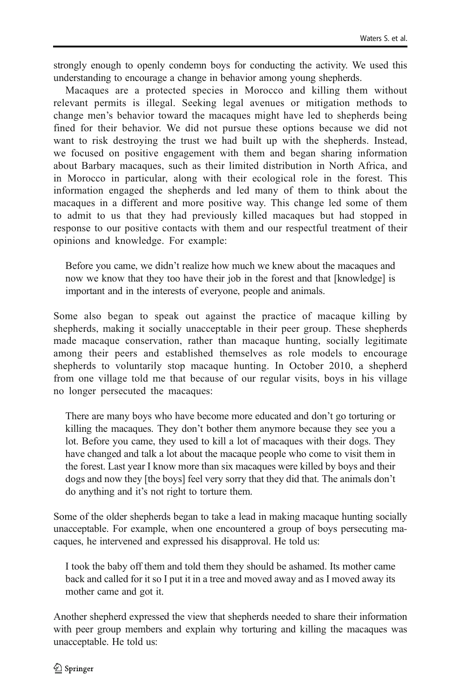strongly enough to openly condemn boys for conducting the activity. We used this understanding to encourage a change in behavior among young shepherds.

Macaques are a protected species in Morocco and killing them without relevant permits is illegal. Seeking legal avenues or mitigation methods to change men's behavior toward the macaques might have led to shepherds being fined for their behavior. We did not pursue these options because we did not want to risk destroying the trust we had built up with the shepherds. Instead, we focused on positive engagement with them and began sharing information about Barbary macaques, such as their limited distribution in North Africa, and in Morocco in particular, along with their ecological role in the forest. This information engaged the shepherds and led many of them to think about the macaques in a different and more positive way. This change led some of them to admit to us that they had previously killed macaques but had stopped in response to our positive contacts with them and our respectful treatment of their opinions and knowledge. For example:

Before you came, we didn't realize how much we knew about the macaques and now we know that they too have their job in the forest and that [knowledge] is important and in the interests of everyone, people and animals.

Some also began to speak out against the practice of macaque killing by shepherds, making it socially unacceptable in their peer group. These shepherds made macaque conservation, rather than macaque hunting, socially legitimate among their peers and established themselves as role models to encourage shepherds to voluntarily stop macaque hunting. In October 2010, a shepherd from one village told me that because of our regular visits, boys in his village no longer persecuted the macaques:

There are many boys who have become more educated and don't go torturing or killing the macaques. They don't bother them anymore because they see you a lot. Before you came, they used to kill a lot of macaques with their dogs. They have changed and talk a lot about the macaque people who come to visit them in the forest. Last year I know more than six macaques were killed by boys and their dogs and now they [the boys] feel very sorry that they did that. The animals don't do anything and it's not right to torture them.

Some of the older shepherds began to take a lead in making macaque hunting socially unacceptable. For example, when one encountered a group of boys persecuting macaques, he intervened and expressed his disapproval. He told us:

I took the baby off them and told them they should be ashamed. Its mother came back and called for it so I put it in a tree and moved away and as I moved away its mother came and got it.

Another shepherd expressed the view that shepherds needed to share their information with peer group members and explain why torturing and killing the macaques was unacceptable. He told us: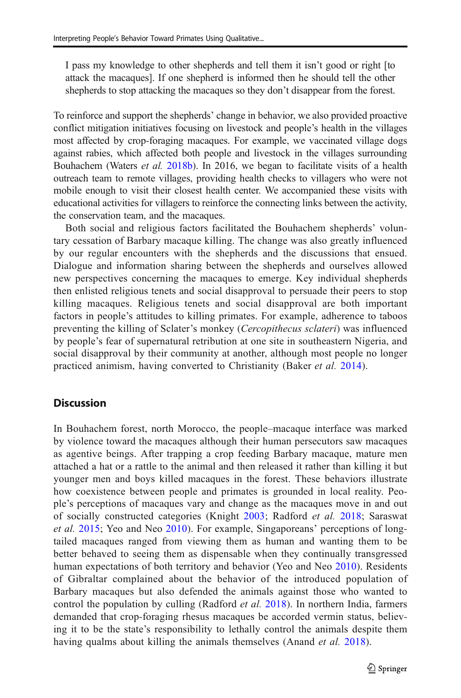I pass my knowledge to other shepherds and tell them it isn't good or right [to attack the macaques]. If one shepherd is informed then he should tell the other shepherds to stop attacking the macaques so they don't disappear from the forest.

To reinforce and support the shepherds' change in behavior, we also provided proactive conflict mitigation initiatives focusing on livestock and people's health in the villages most affected by crop-foraging macaques. For example, we vaccinated village dogs against rabies, which affected both people and livestock in the villages surrounding Bouhachem (Waters et al. [2018b\)](#page-14-0). In 2016, we began to facilitate visits of a health outreach team to remote villages, providing health checks to villagers who were not mobile enough to visit their closest health center. We accompanied these visits with educational activities for villagers to reinforce the connecting links between the activity, the conservation team, and the macaques.

Both social and religious factors facilitated the Bouhachem shepherds' voluntary cessation of Barbary macaque killing. The change was also greatly influenced by our regular encounters with the shepherds and the discussions that ensued. Dialogue and information sharing between the shepherds and ourselves allowed new perspectives concerning the macaques to emerge. Key individual shepherds then enlisted religious tenets and social disapproval to persuade their peers to stop killing macaques. Religious tenets and social disapproval are both important factors in people's attitudes to killing primates. For example, adherence to taboos preventing the killing of Sclater's monkey (Cercopithecus sclateri) was influenced by people's fear of supernatural retribution at one site in southeastern Nigeria, and social disapproval by their community at another, although most people no longer practiced animism, having converted to Christianity (Baker et al. [2014](#page-12-0)).

#### **Discussion**

In Bouhachem forest, north Morocco, the people–macaque interface was marked by violence toward the macaques although their human persecutors saw macaques as agentive beings. After trapping a crop feeding Barbary macaque, mature men attached a hat or a rattle to the animal and then released it rather than killing it but younger men and boys killed macaques in the forest. These behaviors illustrate how coexistence between people and primates is grounded in local reality. People's perceptions of macaques vary and change as the macaques move in and out of socially constructed categories (Knight [2003;](#page-13-0) Radford et al. [2018;](#page-14-0) Saraswat et al. [2015](#page-14-0); Yeo and Neo [2010\)](#page-14-0). For example, Singaporeans' perceptions of longtailed macaques ranged from viewing them as human and wanting them to be better behaved to seeing them as dispensable when they continually transgressed human expectations of both territory and behavior (Yeo and Neo [2010](#page-14-0)). Residents of Gibraltar complained about the behavior of the introduced population of Barbary macaques but also defended the animals against those who wanted to control the population by culling (Radford et al. [2018](#page-14-0)). In northern India, farmers demanded that crop-foraging rhesus macaques be accorded vermin status, believing it to be the state's responsibility to lethally control the animals despite them having qualms about killing the animals themselves (Anand et al. [2018\)](#page-12-0).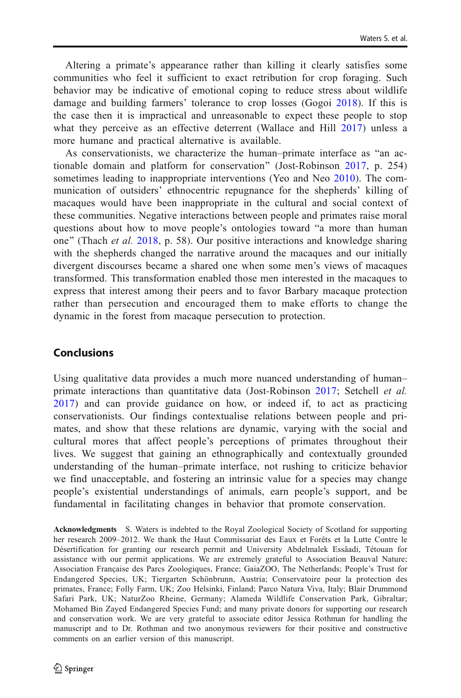Altering a primate's appearance rather than killing it clearly satisfies some communities who feel it sufficient to exact retribution for crop foraging. Such behavior may be indicative of emotional coping to reduce stress about wildlife damage and building farmers' tolerance to crop losses (Gogoi [2018](#page-12-0)). If this is the case then it is impractical and unreasonable to expect these people to stop what they perceive as an effective deterrent (Wallace and Hill [2017\)](#page-14-0) unless a more humane and practical alternative is available.

As conservationists, we characterize the human–primate interface as "an ac-tionable domain and platform for conservation" (Jost-Robinson [2017](#page-13-0), p. 254) sometimes leading to inappropriate interventions (Yeo and Neo [2010\)](#page-14-0). The communication of outsiders' ethnocentric repugnance for the shepherds' killing of macaques would have been inappropriate in the cultural and social context of these communities. Negative interactions between people and primates raise moral questions about how to move people's ontologies toward "a more than human one" (Thach *et al.* [2018,](#page-14-0) p. 58). Our positive interactions and knowledge sharing with the shepherds changed the narrative around the macaques and our initially divergent discourses became a shared one when some men's views of macaques transformed. This transformation enabled those men interested in the macaques to express that interest among their peers and to favor Barbary macaque protection rather than persecution and encouraged them to make efforts to change the dynamic in the forest from macaque persecution to protection.

### **Conclusions**

Using qualitative data provides a much more nuanced understanding of human– primate interactions than quantitative data (Jost-Robinson  $2017$ ; Setchell *et al.* [2017](#page-14-0)) and can provide guidance on how, or indeed if, to act as practicing conservationists. Our findings contextualise relations between people and primates, and show that these relations are dynamic, varying with the social and cultural mores that affect people's perceptions of primates throughout their lives. We suggest that gaining an ethnographically and contextually grounded understanding of the human–primate interface, not rushing to criticize behavior we find unacceptable, and fostering an intrinsic value for a species may change people's existential understandings of animals, earn people's support, and be fundamental in facilitating changes in behavior that promote conservation.

Acknowledgments S. Waters is indebted to the Royal Zoological Society of Scotland for supporting her research 2009–2012. We thank the Haut Commissariat des Eaux et Forêts et la Lutte Contre le Désertification for granting our research permit and University Abdelmalek Essâadi, Tétouan for assistance with our permit applications. We are extremely grateful to Association Beauval Nature; Association Française des Parcs Zoologiques, France; GaiaZOO, The Netherlands; People's Trust for Endangered Species, UK; Tiergarten Schönbrunn, Austria; Conservatoire pour la protection des primates, France; Folly Farm, UK; Zoo Helsinki, Finland; Parco Natura Viva, Italy; Blair Drummond Safari Park, UK; NaturZoo Rheine, Germany; Alameda Wildlife Conservation Park, Gibraltar; Mohamed Bin Zayed Endangered Species Fund; and many private donors for supporting our research and conservation work. We are very grateful to associate editor Jessica Rothman for handling the manuscript and to Dr. Rothman and two anonymous reviewers for their positive and constructive comments on an earlier version of this manuscript.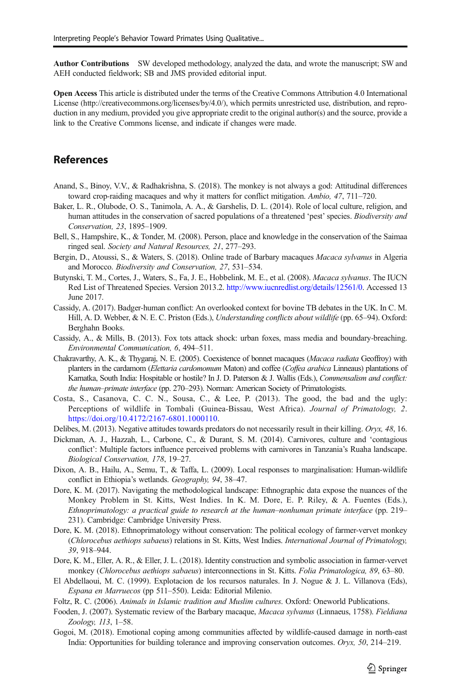<span id="page-12-0"></span>Author Contributions SW developed methodology, analyzed the data, and wrote the manuscript; SW and AEH conducted fieldwork; SB and JMS provided editorial input.

Open Access This article is distributed under the terms of the Creative Commons Attribution 4.0 International License (http://creativecommons.org/licenses/by/4.0/), which permits unrestricted use, distribution, and reproduction in any medium, provided you give appropriate credit to the original author(s) and the source, provide a link to the Creative Commons license, and indicate if changes were made.

#### References

- Anand, S., Binoy, V.V., & Radhakrishna, S. (2018). The monkey is not always a god: Attitudinal differences toward crop-raiding macaques and why it matters for conflict mitigation. Ambio, 47, 711–720.
- Baker, L. R., Olubode, O. S., Tanimola, A. A., & Garshelis, D. L. (2014). Role of local culture, religion, and human attitudes in the conservation of sacred populations of a threatened 'pest' species. Biodiversity and Conservation, 23, 1895–1909.
- Bell, S., Hampshire, K., & Tonder, M. (2008). Person, place and knowledge in the conservation of the Saimaa ringed seal. Society and Natural Resources, 21, 277–293.
- Bergin, D., Atoussi, S., & Waters, S. (2018). Online trade of Barbary macaques Macaca sylvanus in Algeria and Morocco. Biodiversity and Conservation, 27, 531–534.
- Butynski, T. M., Cortes, J., Waters, S., Fa, J. E., Hobbelink, M. E., et al. (2008). Macaca sylvanus. The IUCN Red List of Threatened Species. Version 2013.2. [http://www.iucnredlist.org/details/12561/0.](http://www.iucnredlist.org/details/12561/0) Accessed 13 June 2017.
- Cassidy, A. (2017). Badger-human conflict: An overlooked context for bovine TB debates in the UK. In C. M. Hill, A. D. Webber, & N. E. C. Priston (Eds.), Understanding conflicts about wildlife (pp. 65–94). Oxford: Berghahn Books.
- Cassidy, A., & Mills, B. (2013). Fox tots attack shock: urban foxes, mass media and boundary-breaching. Environmental Communication, 6, 494–511.
- Chakravarthy, A. K., & Thygaraj, N. E. (2005). Coexistence of bonnet macaques (Macaca radiata Geoffroy) with planters in the cardamom (Elettaria cardomomum Maton) and coffee (Coffea arabica Linneaus) plantations of Karnatka, South India: Hospitable or hostile? In J. D. Paterson & J. Wallis (Eds.), Commensalism and conflict: the human-primate interface (pp. 270-293). Norman: American Society of Primatologists.
- Costa, S., Casanova, C. C. N., Sousa, C., & Lee, P. (2013). The good, the bad and the ugly: Perceptions of wildlife in Tombali (Guinea-Bissau, West Africa). Journal of Primatology, 2. <https://doi.org/10.4172/2167-6801.1000110>.
- Delibes, M. (2013). Negative attitudes towards predators do not necessarily result in their killing. Oryx, 48, 16.
- Dickman, A. J., Hazzah, L., Carbone, C., & Durant, S. M. (2014). Carnivores, culture and 'contagious conflict': Multiple factors influence perceived problems with carnivores in Tanzania's Ruaha landscape. Biological Conservation, 178, 19–27.
- Dixon, A. B., Hailu, A., Semu, T., & Taffa, L. (2009). Local responses to marginalisation: Human-wildlife conflict in Ethiopia's wetlands. Geography, 94, 38–47.
- Dore, K. M. (2017). Navigating the methodological landscape: Ethnographic data expose the nuances of the Monkey Problem in St. Kitts, West Indies. In K. M. Dore, E. P. Riley, & A. Fuentes (Eds.), Ethnoprimatology: a practical guide to research at the human–nonhuman primate interface (pp. 219– 231). Cambridge: Cambridge University Press.
- Dore, K. M. (2018). Ethnoprimatology without conservation: The political ecology of farmer-vervet monkey (Chlorocebus aethiops sabaeus) relations in St. Kitts, West Indies. International Journal of Primatology, 39, 918–944.
- Dore, K. M., Eller, A. R., & Eller, J. L. (2018). Identity construction and symbolic association in farmer-vervet monkey (Chlorocebus aethiops sabaeus) interconnections in St. Kitts. Folia Primatologica, 89, 63–80.
- El Abdellaoui, M. C. (1999). Explotacion de los recursos naturales. In J. Nogue & J. L. Villanova (Eds), Espana en Marruecos (pp 511–550). Leida: Editorial Milenio.
- Foltz, R. C. (2006). Animals in Islamic tradition and Muslim cultures. Oxford: Oneworld Publications.
- Fooden, J. (2007). Systematic review of the Barbary macaque, Macaca sylvanus (Linnaeus, 1758). Fieldiana Zoology, 113, 1–58.
- Gogoi, M. (2018). Emotional coping among communities affected by wildlife-caused damage in north-east India: Opportunities for building tolerance and improving conservation outcomes. Oryx, 50, 214–219.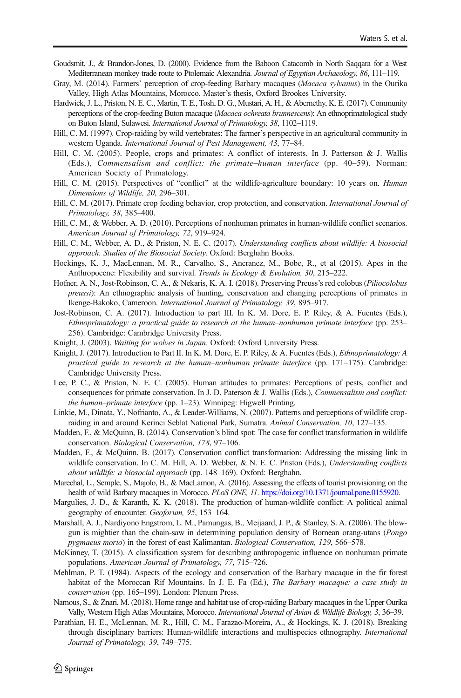- <span id="page-13-0"></span>Goudsmit, J., & Brandon-Jones, D. (2000). Evidence from the Baboon Catacomb in North Saqqara for a West Mediterranean monkey trade route to Ptolemaic Alexandria. Journal of Egyptian Archaeology, 86, 111–119.
- Gray, M. (2014). Farmers' perception of crop-feeding Barbary macaques (Macaca sylvanus) in the Ourika Valley, High Atlas Mountains, Morocco. Master's thesis, Oxford Brookes University.
- Hardwick, J. L., Priston, N. E. C., Martin, T. E., Tosh, D. G., Mustari, A. H., & Abernethy, K. E. (2017). Community perceptions of the crop-feeding Buton macaque (Macaca ochreata brunnescens): An ethnoprimatological study on Buton Island, Sulawesi. International Journal of Primatology, 38, 1102–1119.
- Hill, C. M. (1997). Crop-raiding by wild vertebrates: The farmer's perspective in an agricultural community in western Uganda. International Journal of Pest Management, 43, 77–84.
- Hill, C. M. (2005). People, crops and primates: A conflict of interests. In J. Patterson & J. Wallis (Eds.), Commensalism and conflict: the primate–human interface (pp. 40–59). Norman: American Society of Primatology.
- Hill, C. M. (2015). Perspectives of "conflict" at the wildlife-agriculture boundary: 10 years on. *Human* Dimensions of Wildlife, 20, 296–301.
- Hill, C. M. (2017). Primate crop feeding behavior, crop protection, and conservation. International Journal of Primatology, 38, 385–400.
- Hill, C. M., & Webber, A. D. (2010). Perceptions of nonhuman primates in human-wildlife conflict scenarios. American Journal of Primatology, 72, 919–924.
- Hill, C. M., Webber, A. D., & Priston, N. E. C. (2017). Understanding conflicts about wildlife: A biosocial approach. Studies of the Biosocial Society. Oxford: Berghahn Books.
- Hockings, K. J., MacLennan, M. R., Carvalho, S., Ancranez, M., Bobe, R., et al (2015). Apes in the Anthropocene: Flexibility and survival. Trends in Ecology & Evolution, 30, 215–222.
- Hofner, A. N., Jost-Robinson, C. A., & Nekaris, K. A. I. (2018). Preserving Preuss's red colobus (Piliocolobus preussi): An ethnographic analysis of hunting, conservation and changing perceptions of primates in Ikenge-Bakoko, Cameroon. International Journal of Primatology, 39, 895–917.
- Jost-Robinson, C. A. (2017). Introduction to part III. In K. M. Dore, E. P. Riley, & A. Fuentes (Eds.), Ethnoprimatology: a practical guide to research at the human–nonhuman primate interface (pp. 253– 256). Cambridge: Cambridge University Press.
- Knight, J. (2003). Waiting for wolves in Japan. Oxford: Oxford University Press.
- Knight, J. (2017). Introduction to Part II. In K. M. Dore, E. P. Riley, & A. Fuentes (Eds.), *Ethnoprimatology: A* practical guide to research at the human–nonhuman primate interface (pp. 171–175). Cambridge: Cambridge University Press.
- Lee, P. C., & Priston, N. E. C. (2005). Human attitudes to primates: Perceptions of pests, conflict and consequences for primate conservation. In J. D. Paterson & J. Wallis (Eds.), Commensalism and conflict: the human-primate interface (pp. 1-23). Winnipeg: Higwell Printing.
- Linkie, M., Dinata, Y., Nofrianto, A., & Leader-Williams, N. (2007). Patterns and perceptions of wildlife cropraiding in and around Kerinci Seblat National Park, Sumatra. Animal Conservation, 10, 127–135.
- Madden, F., & McQuinn, B. (2014). Conservation's blind spot: The case for conflict transformation in wildlife conservation. Biological Conservation, 178, 97–106.
- Madden, F., & McQuinn, B. (2017). Conservation conflict transformation: Addressing the missing link in wildlife conservation. In C. M. Hill, A. D. Webber, & N. E. C. Priston (Eds.), Understanding conflicts about wildlife: a biosocial approach (pp. 148–169). Oxford: Berghahn.
- Marechal, L., Semple, S., Majolo, B., & MacLarnon, A. (2016). Assessing the effects of tourist provisioning on the health of wild Barbary macaques in Morocco. PLoS ONE, 11. [https://doi.org/10.1371/journal.pone.0155920.](https://doi.org/10.1371/journal.pone.0155920)
- Margulies, J. D., & Karanth, K. K. (2018). The production of human-wildlife conflict: A political animal geography of encounter. Geoforum, 95, 153–164.
- Marshall, A. J., Nardiyono Engstrom, L. M., Pamungas, B., Meijaard, J. P., & Stanley, S. A. (2006). The blowgun is mightier than the chain-saw in determining population density of Bornean orang-utans (Pongo pygmaeus morio) in the forest of east Kalimantan. Biological Conservation, 129, 566–578.
- McKinney, T. (2015). A classification system for describing anthropogenic influence on nonhuman primate populations. American Journal of Primatology, 77, 715–726.
- Mehlman, P. T. (1984). Aspects of the ecology and conservation of the Barbary macaque in the fir forest habitat of the Moroccan Rif Mountains. In J. E. Fa (Ed.), *The Barbary macaque: a case study in* conservation (pp. 165–199). London: Plenum Press.
- Namous, S., & Znari, M. (2018). Home range and habitat use of crop-raiding Barbary macaques in the Upper Ourika Vally, Western High Atlas Mountains, Morocco. International Journal of Avian & Wildlife Biology, 3, 36–39.
- Parathian, H. E., McLennan, M. R., Hill, C. M., Farazao-Moreira, A., & Hockings, K. J. (2018). Breaking through disciplinary barriers: Human-wildlife interactions and multispecies ethnography. International Journal of Primatology, 39, 749–775.